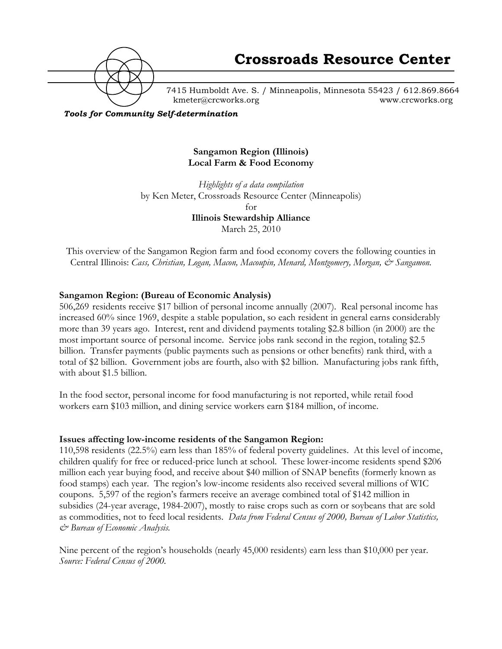

7415 Humboldt Ave. S. / Minneapolis, Minnesota 55423 / 612.869.8664 kmeter@crcworks.org www.crcworks.org

*Tools for Community Self-determination*

#### **Sangamon Region (Illinois) Local Farm & Food Economy**

*Highlights of a data compilation*  by Ken Meter, Crossroads Resource Center (Minneapolis) for **Illinois Stewardship Alliance** March 25, 2010

This overview of the Sangamon Region farm and food economy covers the following counties in Central Illinois: *Cass, Christian, Logan, Macon, Macoupin, Menard, Montgomery, Morgan, & Sangamon.*

#### **Sangamon Region: (Bureau of Economic Analysis)**

506,269 residents receive \$17 billion of personal income annually (2007). Real personal income has increased 60% since 1969, despite a stable population, so each resident in general earns considerably more than 39 years ago. Interest, rent and dividend payments totaling \$2.8 billion (in 2000) are the most important source of personal income. Service jobs rank second in the region, totaling \$2.5 billion. Transfer payments (public payments such as pensions or other benefits) rank third, with a total of \$2 billion. Government jobs are fourth, also with \$2 billion. Manufacturing jobs rank fifth, with about \$1.5 billion.

In the food sector, personal income for food manufacturing is not reported, while retail food workers earn \$103 million, and dining service workers earn \$184 million, of income.

#### **Issues affecting low-income residents of the Sangamon Region:**

110,598 residents (22.5%) earn less than 185% of federal poverty guidelines. At this level of income, children qualify for free or reduced-price lunch at school. These lower-income residents spend \$206 million each year buying food, and receive about \$40 million of SNAP benefits (formerly known as food stamps) each year. The region's low-income residents also received several millions of WIC coupons. 5,597 of the region's farmers receive an average combined total of \$142 million in subsidies (24-year average, 1984-2007), mostly to raise crops such as corn or soybeans that are sold as commodities, not to feed local residents. *Data from Federal Census of 2000, Bureau of Labor Statistics, & Bureau of Economic Analysis.*

Nine percent of the region's households (nearly 45,000 residents) earn less than \$10,000 per year. *Source: Federal Census of 2000.*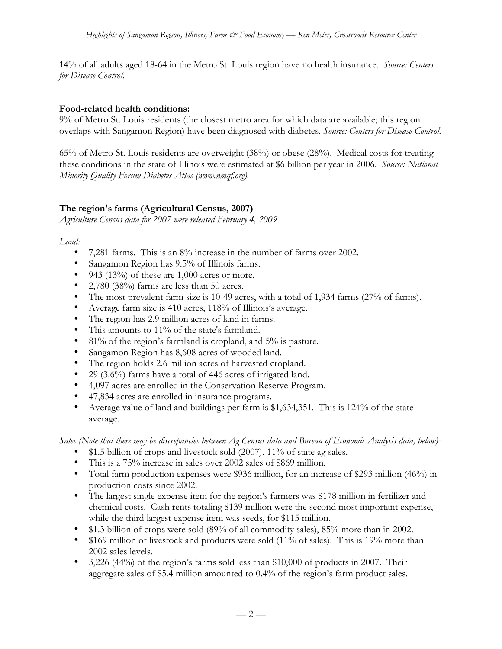14% of all adults aged 18-64 in the Metro St. Louis region have no health insurance. *Source: Centers for Disease Control.*

### **Food-related health conditions:**

9% of Metro St. Louis residents (the closest metro area for which data are available; this region overlaps with Sangamon Region) have been diagnosed with diabetes. *Source: Centers for Disease Control.*

65% of Metro St. Louis residents are overweight (38%) or obese (28%). Medical costs for treating these conditions in the state of Illinois were estimated at \$6 billion per year in 2006. *Source: National Minority Quality Forum Diabetes Atlas (www.nmqf.org).*

# **The region's farms (Agricultural Census, 2007)**

*Agriculture Census data for 2007 were released February 4, 2009*

*Land:*

- 7,281 farms. This is an 8% increase in the number of farms over 2002.
- Sangamon Region has 9.5% of Illinois farms.
- 943 (13%) of these are  $1,000$  acres or more.
- 2,780 (38%) farms are less than 50 acres.
- The most prevalent farm size is 10-49 acres, with a total of 1,934 farms (27% of farms).
- Average farm size is 410 acres, 118% of Illinois's average.
- The region has 2.9 million acres of land in farms.
- This amounts to 11% of the state's farmland.
- 81% of the region's farmland is cropland, and 5% is pasture.
- Sangamon Region has 8,608 acres of wooded land.
- The region holds 2.6 million acres of harvested cropland.
- 29 (3.6%) farms have a total of 446 acres of irrigated land.
- 4,097 acres are enrolled in the Conservation Reserve Program.
- 47,834 acres are enrolled in insurance programs.
- Average value of land and buildings per farm is \$1,634,351. This is 124% of the state average.

*Sales (Note that there may be discrepancies between Ag Census data and Bureau of Economic Analysis data, below):*

- \$1.5 billion of crops and livestock sold (2007), 11% of state ag sales.
- This is a 75% increase in sales over 2002 sales of \$869 million.
- Total farm production expenses were \$936 million, for an increase of \$293 million (46%) in production costs since 2002.
- The largest single expense item for the region's farmers was \$178 million in fertilizer and chemical costs. Cash rents totaling \$139 million were the second most important expense, while the third largest expense item was seeds, for \$115 million.
- \$1.3 billion of crops were sold (89% of all commodity sales), 85% more than in 2002.
- \$169 million of livestock and products were sold (11% of sales). This is 19% more than 2002 sales levels.
- 3,226 (44%) of the region's farms sold less than  $$10,000$  of products in 2007. Their aggregate sales of \$5.4 million amounted to 0.4% of the region's farm product sales.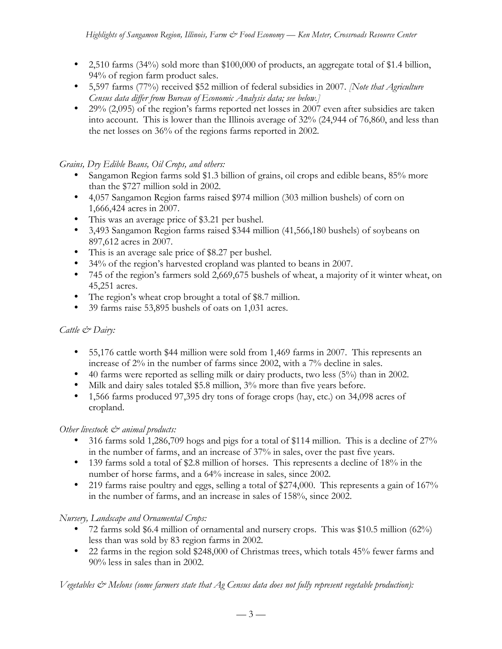- 2,510 farms  $(34\%)$  sold more than \$100,000 of products, an aggregate total of \$1.4 billion, 94% of region farm product sales.
- 5,597 farms (77%) received \$52 million of federal subsidies in 2007. *[Note that Agriculture Census data differ from Bureau of Economic Analysis data; see below.]*
- 29% (2,095) of the region's farms reported net losses in 2007 even after subsidies are taken into account. This is lower than the Illinois average of 32% (24,944 of 76,860, and less than the net losses on 36% of the regions farms reported in 2002.

# *Grains, Dry Edible Beans, Oil Crops, and others:*

- Sangamon Region farms sold \$1.3 billion of grains, oil crops and edible beans, 85% more than the \$727 million sold in 2002.
- 4,057 Sangamon Region farms raised \$974 million (303 million bushels) of corn on 1,666,424 acres in 2007.
- This was an average price of \$3.21 per bushel.
- 3,493 Sangamon Region farms raised \$344 million (41,566,180 bushels) of soybeans on 897,612 acres in 2007.
- This is an average sale price of \$8.27 per bushel.
- 34% of the region's harvested cropland was planted to beans in 2007.
- 745 of the region's farmers sold 2,669,675 bushels of wheat, a majority of it winter wheat, on 45,251 acres.
- The region's wheat crop brought a total of \$8.7 million.
- 39 farms raise 53,895 bushels of oats on 1,031 acres.

# *Cattle & Dairy:*

- 55,176 cattle worth \$44 million were sold from 1,469 farms in 2007. This represents an increase of 2% in the number of farms since 2002, with a 7% decline in sales.
- 40 farms were reported as selling milk or dairy products, two less (5%) than in 2002.
- Milk and dairy sales totaled \$5.8 million, 3% more than five years before.
- 1,566 farms produced 97,395 dry tons of forage crops (hay, etc.) on 34,098 acres of cropland.

# *Other livestock*  $\mathcal{Q}^*$  animal products:

- 316 farms sold 1,286,709 hogs and pigs for a total of \$114 million. This is a decline of 27% in the number of farms, and an increase of 37% in sales, over the past five years.
- 139 farms sold a total of \$2.8 million of horses. This represents a decline of 18% in the number of horse farms, and a 64% increase in sales, since 2002.
- 219 farms raise poultry and eggs, selling a total of \$274,000. This represents a gain of 167% in the number of farms, and an increase in sales of 158%, since 2002.

# *Nursery, Landscape and Ornamental Crops:*

- 72 farms sold \$6.4 million of ornamental and nursery crops. This was \$10.5 million (62%) less than was sold by 83 region farms in 2002.
- 22 farms in the region sold \$248,000 of Christmas trees, which totals 45% fewer farms and 90% less in sales than in 2002.

*Vegetables & Melons (some farmers state that Ag Census data does not fully represent vegetable production):*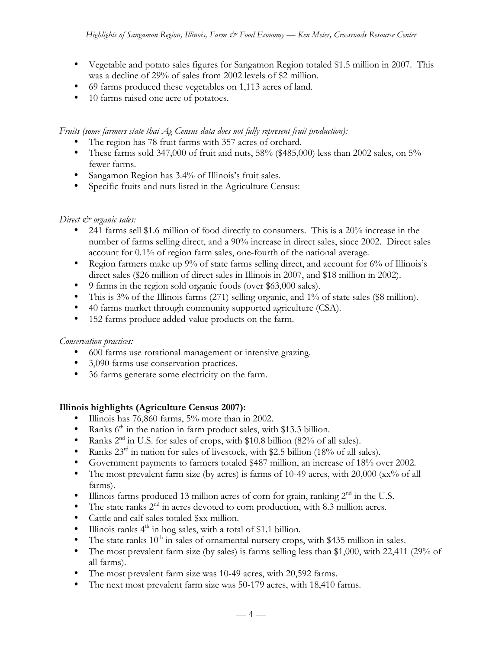- Vegetable and potato sales figures for Sangamon Region totaled \$1.5 million in 2007. This was a decline of 29% of sales from 2002 levels of \$2 million.
- 69 farms produced these vegetables on 1,113 acres of land.
- 10 farms raised one acre of potatoes.

### *Fruits (some farmers state that Ag Census data does not fully represent fruit production):*

- The region has 78 fruit farms with 357 acres of orchard.
- These farms sold 347,000 of fruit and nuts,  $58\%$  (\$485,000) less than 2002 sales, on  $5\%$ fewer farms.
- Sangamon Region has 3.4% of Illinois's fruit sales.
- Specific fruits and nuts listed in the Agriculture Census:

# *Direct & organic sales:*

- 241 farms sell \$1.6 million of food directly to consumers. This is a 20% increase in the number of farms selling direct, and a 90% increase in direct sales, since 2002. Direct sales account for 0.1% of region farm sales, one-fourth of the national average.
- Region farmers make up 9% of state farms selling direct, and account for 6% of Illinois's direct sales (\$26 million of direct sales in Illinois in 2007, and \$18 million in 2002).
- 9 farms in the region sold organic foods (over \$63,000 sales).
- This is 3% of the Illinois farms (271) selling organic, and 1% of state sales (\$8 million).
- 40 farms market through community supported agriculture (CSA).
- 152 farms produce added-value products on the farm.

# *Conservation practices:*

- 600 farms use rotational management or intensive grazing.
- 3,090 farms use conservation practices.
- 36 farms generate some electricity on the farm.

# **Illinois highlights (Agriculture Census 2007):**

- Illinois has 76,860 farms, 5% more than in 2002.
- Ranks  $6<sup>th</sup>$  in the nation in farm product sales, with \$13.3 billion.
- Ranks  $2<sup>nd</sup>$  in U.S. for sales of crops, with \$10.8 billion (82% of all sales).
- Ranks  $23^{rd}$  in nation for sales of livestock, with \$2.5 billion (18% of all sales).
- Government payments to farmers totaled \$487 million, an increase of 18% over 2002.
- The most prevalent farm size (by acres) is farms of 10-49 acres, with 20,000 (xx% of all farms).
- Illinois farms produced 13 million acres of corn for grain, ranking  $2<sup>nd</sup>$  in the U.S.
- The state ranks  $2<sup>nd</sup>$  in acres devoted to corn production, with 8.3 million acres.
- Cattle and calf sales totaled \$xx million.
- Illinois ranks  $4<sup>th</sup>$  in hog sales, with a total of \$1.1 billion.
- The state ranks  $10<sup>th</sup>$  in sales of ornamental nursery crops, with \$435 million in sales.
- The most prevalent farm size (by sales) is farms selling less than \$1,000, with 22,411 (29% of all farms).
- The most prevalent farm size was 10-49 acres, with 20,592 farms.
- The next most prevalent farm size was 50-179 acres, with 18,410 farms.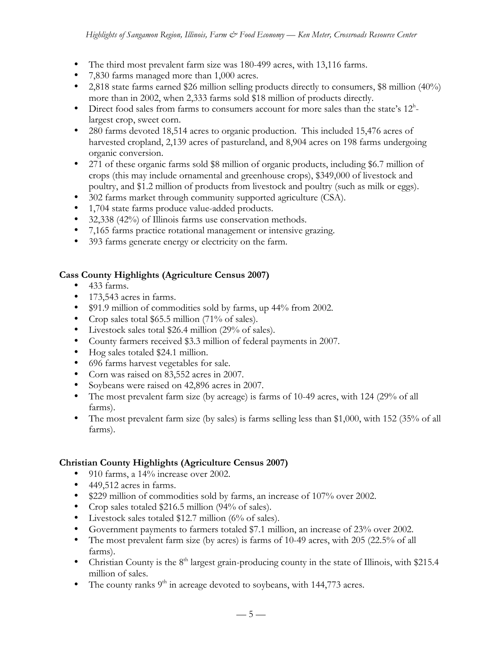- The third most prevalent farm size was 180-499 acres, with 13,116 farms.
- 7,830 farms managed more than 1,000 acres.
- 2,818 state farms earned \$26 million selling products directly to consumers, \$8 million (40%) more than in 2002, when 2,333 farms sold \$18 million of products directly.
- Direct food sales from farms to consumers account for more sales than the state's 12<sup>h</sup>largest crop, sweet corn.
- 280 farms devoted 18,514 acres to organic production. This included 15,476 acres of harvested cropland, 2,139 acres of pastureland, and 8,904 acres on 198 farms undergoing organic conversion.
- 271 of these organic farms sold \$8 million of organic products, including \$6.7 million of crops (this may include ornamental and greenhouse crops), \$349,000 of livestock and poultry, and \$1.2 million of products from livestock and poultry (such as milk or eggs).
- 302 farms market through community supported agriculture (CSA).
- 1,704 state farms produce value-added products.
- 32,338 (42%) of Illinois farms use conservation methods.
- 7,165 farms practice rotational management or intensive grazing.
- 393 farms generate energy or electricity on the farm.

# **Cass County Highlights (Agriculture Census 2007)**

- 433 farms.
- 173,543 acres in farms.
- \$91.9 million of commodities sold by farms, up 44% from 2002.
- Crop sales total \$65.5 million (71% of sales).
- Livestock sales total \$26.4 million (29% of sales).
- County farmers received \$3.3 million of federal payments in 2007.
- Hog sales totaled \$24.1 million.
- 696 farms harvest vegetables for sale.
- Corn was raised on 83,552 acres in 2007.
- Soybeans were raised on 42,896 acres in 2007.
- The most prevalent farm size (by acreage) is farms of 10-49 acres, with 124 (29% of all farms).
- The most prevalent farm size (by sales) is farms selling less than \$1,000, with 152 (35% of all farms).

# **Christian County Highlights (Agriculture Census 2007)**

- 910 farms, a 14% increase over 2002.
- 449,512 acres in farms.
- \$229 million of commodities sold by farms, an increase of 107% over 2002.
- Crop sales totaled \$216.5 million (94% of sales).
- Livestock sales totaled \$12.7 million (6% of sales).
- Government payments to farmers totaled \$7.1 million, an increase of 23% over 2002.
- The most prevalent farm size (by acres) is farms of 10-49 acres, with 205 (22.5% of all farms).
- Christian County is the  $8<sup>th</sup>$  largest grain-producing county in the state of Illinois, with \$215.4 million of sales.
- The county ranks  $9<sup>th</sup>$  in acreage devoted to soybeans, with 144,773 acres.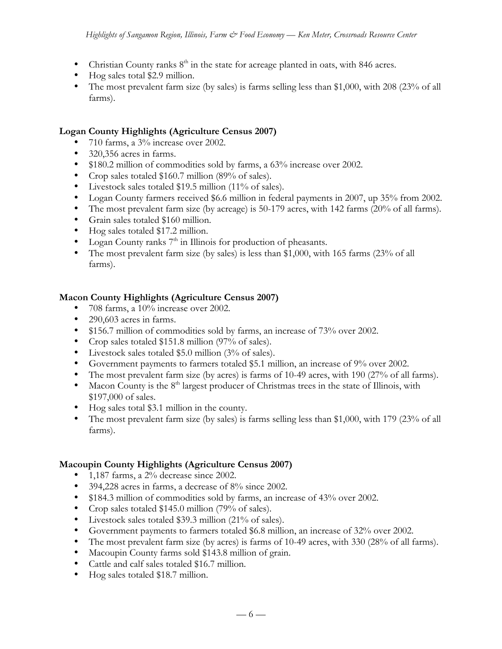- Christian County ranks  $8<sup>th</sup>$  in the state for acreage planted in oats, with 846 acres.
- Hog sales total \$2.9 million.
- The most prevalent farm size (by sales) is farms selling less than \$1,000, with 208 (23% of all farms).

### **Logan County Highlights (Agriculture Census 2007)**

- 710 farms, a 3% increase over 2002.
- 320,356 acres in farms.
- \$180.2 million of commodities sold by farms, a 63% increase over 2002.
- Crop sales totaled \$160.7 million (89% of sales).
- Livestock sales totaled \$19.5 million (11% of sales).
- Logan County farmers received \$6.6 million in federal payments in 2007, up 35% from 2002.
- The most prevalent farm size (by acreage) is 50-179 acres, with 142 farms (20% of all farms).
- Grain sales totaled \$160 million.
- Hog sales totaled \$17.2 million.
- Logan County ranks  $7<sup>th</sup>$  in Illinois for production of pheasants.
- The most prevalent farm size (by sales) is less than \$1,000, with 165 farms (23% of all farms).

### **Macon County Highlights (Agriculture Census 2007)**

- 708 farms, a 10% increase over 2002.
- 290,603 acres in farms.
- \$156.7 million of commodities sold by farms, an increase of 73% over 2002.
- Crop sales totaled \$151.8 million (97% of sales).
- Livestock sales totaled \$5.0 million (3% of sales).
- Government payments to farmers totaled \$5.1 million, an increase of 9% over 2002.
- The most prevalent farm size (by acres) is farms of 10-49 acres, with 190 (27% of all farms).
- Macon County is the  $8<sup>th</sup>$  largest producer of Christmas trees in the state of Illinois, with \$197,000 of sales.
- Hog sales total \$3.1 million in the county.
- The most prevalent farm size (by sales) is farms selling less than \$1,000, with 179 (23% of all farms).

# **Macoupin County Highlights (Agriculture Census 2007)**

- 1,187 farms, a 2% decrease since 2002.
- 394,228 acres in farms, a decrease of 8% since 2002.
- \$184.3 million of commodities sold by farms, an increase of 43% over 2002.
- Crop sales totaled \$145.0 million (79% of sales).
- Livestock sales totaled \$39.3 million (21% of sales).
- Government payments to farmers totaled \$6.8 million, an increase of 32% over 2002.
- The most prevalent farm size (by acres) is farms of 10-49 acres, with 330 (28% of all farms).
- Macoupin County farms sold \$143.8 million of grain.
- Cattle and calf sales totaled \$16.7 million.
- Hog sales totaled \$18.7 million.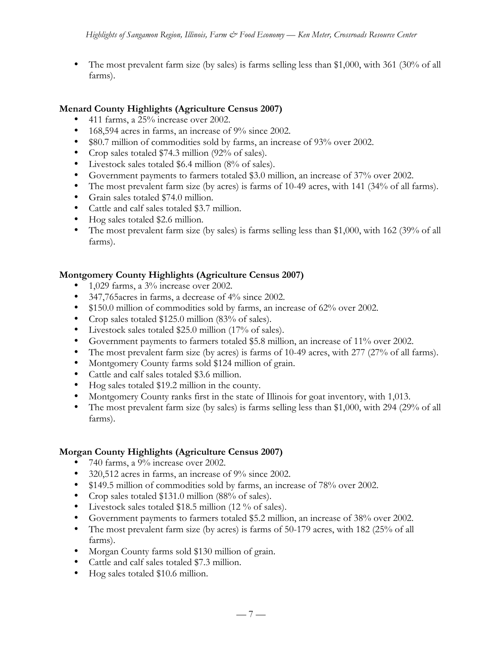• The most prevalent farm size (by sales) is farms selling less than \$1,000, with 361 (30% of all farms).

# **Menard County Highlights (Agriculture Census 2007)**

- 411 farms, a 25% increase over 2002.
- 168,594 acres in farms, an increase of 9% since 2002.
- \$80.7 million of commodities sold by farms, an increase of 93% over 2002.
- Crop sales totaled \$74.3 million (92% of sales).
- Livestock sales totaled \$6.4 million (8% of sales).
- Government payments to farmers totaled \$3.0 million, an increase of 37% over 2002.
- The most prevalent farm size (by acres) is farms of 10-49 acres, with 141 (34% of all farms).
- Grain sales totaled \$74.0 million.
- Cattle and calf sales totaled \$3.7 million.
- Hog sales totaled \$2.6 million.
- The most prevalent farm size (by sales) is farms selling less than \$1,000, with 162 (39% of all farms).

# **Montgomery County Highlights (Agriculture Census 2007)**

- 1,029 farms, a  $3\%$  increase over 2002.
- 347,765acres in farms, a decrease of 4% since 2002.
- \$150.0 million of commodities sold by farms, an increase of 62% over 2002.
- Crop sales totaled \$125.0 million (83% of sales).
- Livestock sales totaled \$25.0 million (17% of sales).
- Government payments to farmers totaled \$5.8 million, an increase of 11% over 2002.
- The most prevalent farm size (by acres) is farms of 10-49 acres, with 277 (27% of all farms).
- Montgomery County farms sold \$124 million of grain.
- Cattle and calf sales totaled \$3.6 million.
- Hog sales totaled \$19.2 million in the county.
- Montgomery County ranks first in the state of Illinois for goat inventory, with 1,013.
- The most prevalent farm size (by sales) is farms selling less than \$1,000, with 294 (29% of all farms).

#### **Morgan County Highlights (Agriculture Census 2007)**

- 740 farms, a 9% increase over 2002.
- 320,512 acres in farms, an increase of 9% since 2002.
- \$149.5 million of commodities sold by farms, an increase of 78% over 2002.
- Crop sales totaled \$131.0 million (88% of sales).
- Livestock sales totaled \$18.5 million (12 % of sales).
- Government payments to farmers totaled \$5.2 million, an increase of 38% over 2002.
- The most prevalent farm size (by acres) is farms of 50-179 acres, with 182 (25% of all farms).
- Morgan County farms sold \$130 million of grain.
- Cattle and calf sales totaled \$7.3 million.
- Hog sales totaled \$10.6 million.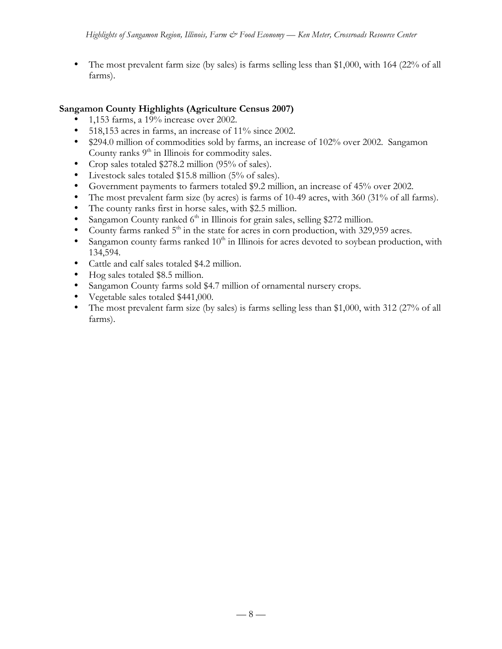• The most prevalent farm size (by sales) is farms selling less than \$1,000, with 164 (22% of all farms).

### **Sangamon County Highlights (Agriculture Census 2007)**

- 1,153 farms, a 19% increase over 2002.
- 518,153 acres in farms, an increase of 11% since 2002.
- \$294.0 million of commodities sold by farms, an increase of 102% over 2002. Sangamon County ranks  $9<sup>th</sup>$  in Illinois for commodity sales.
- Crop sales totaled \$278.2 million (95% of sales).
- Livestock sales totaled \$15.8 million (5% of sales).
- Government payments to farmers totaled \$9.2 million, an increase of 45% over 2002.
- The most prevalent farm size (by acres) is farms of 10-49 acres, with 360 (31% of all farms).
- The county ranks first in horse sales, with \$2.5 million.
- Sangamon County ranked  $6<sup>th</sup>$  in Illinois for grain sales, selling \$272 million.
- County farms ranked  $5<sup>th</sup>$  in the state for acres in corn production, with 329,959 acres.
- Sangamon county farms ranked  $10<sup>th</sup>$  in Illinois for acres devoted to soybean production, with 134,594.
- Cattle and calf sales totaled \$4.2 million.
- Hog sales totaled \$8.5 million.
- Sangamon County farms sold \$4.7 million of ornamental nursery crops.
- Vegetable sales totaled \$441,000.
- The most prevalent farm size (by sales) is farms selling less than \$1,000, with 312 (27% of all farms).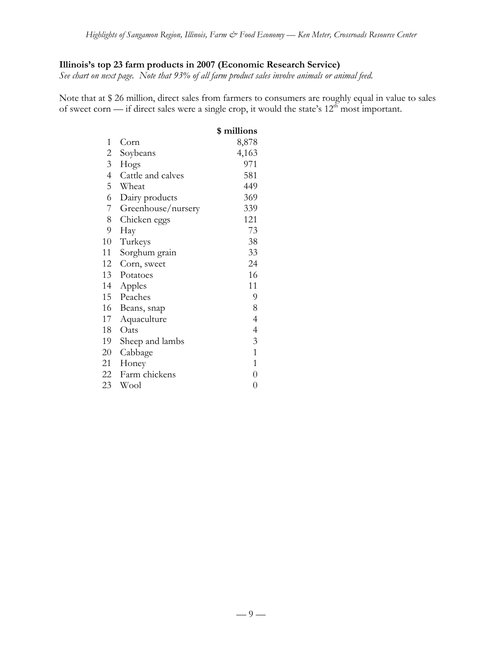# **Illinois's top 23 farm products in 2007 (Economic Research Service)**

*See chart on next page. Note that 93% of all farm product sales involve animals or animal feed.*

Note that at \$ 26 million, direct sales from farmers to consumers are roughly equal in value to sales of sweet corn — if direct sales were a single crop, it would the state's  $12<sup>th</sup>$  most important.

|                |                    | \$ millions              |
|----------------|--------------------|--------------------------|
| 1              | Corn               | 8,878                    |
| $\overline{c}$ | Soybeans           | 4,163                    |
| 3 <sup>7</sup> | Hogs               | 971                      |
| $\overline{4}$ | Cattle and calves  | 581                      |
| 5              | Wheat              | 449                      |
| 6              | Dairy products     | 369                      |
| 7              | Greenhouse/nursery | 339                      |
| 8              | Chicken eggs       | 121                      |
| 9              | Hay                | 73                       |
| 10             | Turkeys            | 38                       |
| 11             | Sorghum grain      | 33                       |
| 12             | Corn, sweet        | 24                       |
| 13             | Potatoes           | 16                       |
| 14             | Apples             | 11                       |
| 15             | Peaches            | 9                        |
| 16             | Beans, snap        | 8                        |
| 17             | Aquaculture        | $\overline{4}$           |
| 18             | Oats               | $\overline{\mathcal{A}}$ |
| 19             | Sheep and lambs    | 3                        |
| 20             | Cabbage            | $\overline{1}$           |
| 21             | Honey              | $\mathbf{1}$             |
| 22             | Farm chickens      | $\overline{0}$           |
| 23             | Wool               | $\overline{0}$           |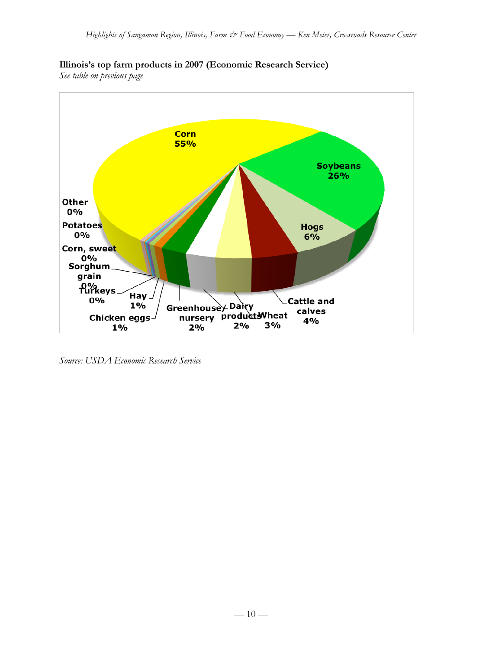# **Illinois's top farm products in 2007 (Economic Research Service)**

*See table on previous page*



*Source: USDA Economic Research Service*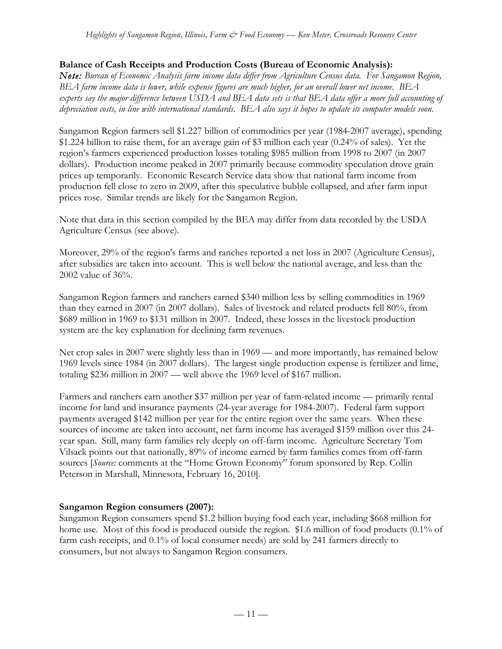# **Balance of Cash Receipts and Production Costs (Bureau of Economic Analysis):**

*Note: Bureau of Economic Analysis farm income data differ from Agriculture Census data. For Sangamon Region, BEA farm income data is lower, while expense figures are much higher, for an overall lower net income. BEA experts say the major difference between USDA and BEA data sets is that BEA data offer a more full accounting of depreciation costs, in line with international standards. BEA also says it hopes to update its computer models soon.*

Sangamon Region farmers sell \$1.227 billion of commodities per year (1984-2007 average), spending \$1.224 billion to raise them, for an average gain of \$3 million each year (0.24% of sales). Yet the region's farmers experienced production losses totaling \$985 million from 1998 to 2007 (in 2007 dollars). Production income peaked in 2007 primarily because commodity speculation drove grain prices up temporarily. Economic Research Service data show that national farm income from production fell close to zero in 2009, after this speculative bubble collapsed, and after farm input prices rose. Similar trends are likely for the Sangamon Region.

Note that data in this section compiled by the BEA may differ from data recorded by the USDA Agriculture Census (see above).

Moreover, 29% of the region's farms and ranches reported a net loss in 2007 (Agriculture Census), after subsidies are taken into account. This is well below the national average, and less than the 2002 value of 36%.

Sangamon Region farmers and ranchers earned \$340 million less by selling commodities in 1969 than they earned in 2007 (in 2007 dollars). Sales of livestock and related products fell 80%, from \$689 million in 1969 to \$131 million in 2007. Indeed, these losses in the livestock production system are the key explanation for declining farm revenues.

Net crop sales in 2007 were slightly less than in 1969 — and more importantly, has remained below 1969 levels since 1984 (in 2007 dollars). The largest single production expense is fertilizer and lime, totaling \$236 million in 2007 — well above the 1969 level of \$167 million.

Farmers and ranchers earn another \$37 million per year of farm-related income — primarily rental income for land and insurance payments (24-year average for 1984-2007). Federal farm support payments averaged \$142 million per year for the entire region over the same years. When these sources of income are taken into account, net farm income has averaged \$159 million over this 24 year span. Still, many farm families rely deeply on off-farm income. Agriculture Secretary Tom Vilsack points out that nationally, 89% of income earned by farm families comes from off-farm sources [*Source:* comments at the "Home Grown Economy" forum sponsored by Rep. Collin Peterson in Marshall, Minnesota, February 16, 2010].

# **Sangamon Region consumers (2007):**

Sangamon Region consumers spend \$1.2 billion buying food each year, including \$668 million for home use. Most of this food is produced outside the region. \$1.6 million of food products (0.1% of farm cash receipts, and 0.1% of local consumer needs) are sold by 241 farmers directly to consumers, but not always to Sangamon Region consumers.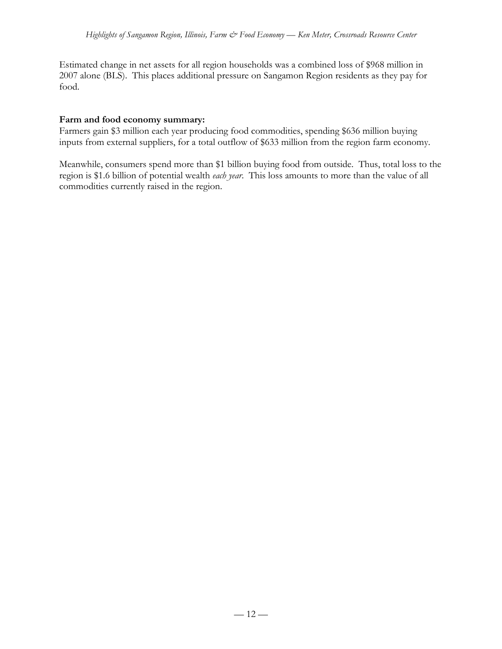Estimated change in net assets for all region households was a combined loss of \$968 million in 2007 alone (BLS). This places additional pressure on Sangamon Region residents as they pay for food.

### **Farm and food economy summary:**

Farmers gain \$3 million each year producing food commodities, spending \$636 million buying inputs from external suppliers, for a total outflow of \$633 million from the region farm economy.

Meanwhile, consumers spend more than \$1 billion buying food from outside. Thus, total loss to the region is \$1.6 billion of potential wealth *each year*. This loss amounts to more than the value of all commodities currently raised in the region.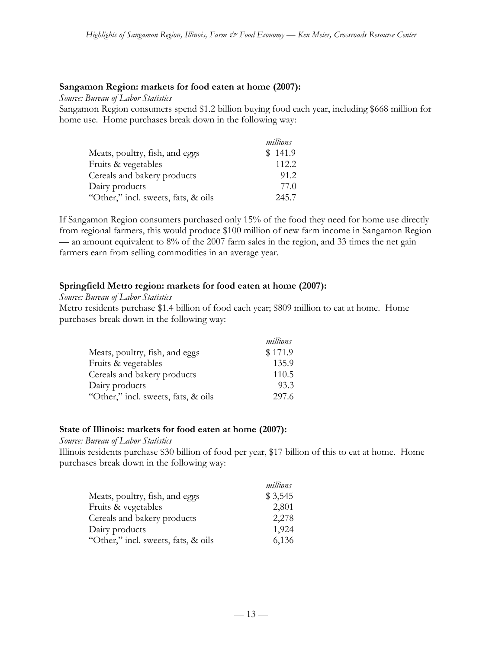#### **Sangamon Region: markets for food eaten at home (2007):**

*Source: Bureau of Labor Statistics*

Sangamon Region consumers spend \$1.2 billion buying food each year, including \$668 million for home use. Home purchases break down in the following way:

|                                     | millions |
|-------------------------------------|----------|
| Meats, poultry, fish, and eggs      | \$141.9  |
| Fruits & vegetables                 | 112.2    |
| Cereals and bakery products         | 91.2     |
| Dairy products                      | 77.0     |
| "Other," incl. sweets, fats, & oils | 245.7    |

If Sangamon Region consumers purchased only 15% of the food they need for home use directly from regional farmers, this would produce \$100 million of new farm income in Sangamon Region — an amount equivalent to 8% of the 2007 farm sales in the region, and 33 times the net gain farmers earn from selling commodities in an average year.

### **Springfield Metro region: markets for food eaten at home (2007):**

*Source: Bureau of Labor Statistics*

Metro residents purchase \$1.4 billion of food each year; \$809 million to eat at home. Home purchases break down in the following way:

|                                     | millions |
|-------------------------------------|----------|
| Meats, poultry, fish, and eggs      | \$171.9  |
| Fruits & vegetables                 | 135.9    |
| Cereals and bakery products         | 110.5    |
| Dairy products                      | 93.3     |
| "Other," incl. sweets, fats, & oils | 297.6    |

#### **State of Illinois: markets for food eaten at home (2007):**

#### *Source: Bureau of Labor Statistics*

Illinois residents purchase \$30 billion of food per year, \$17 billion of this to eat at home. Home purchases break down in the following way:

|                                     | millions |
|-------------------------------------|----------|
| Meats, poultry, fish, and eggs      | \$3,545  |
| Fruits & vegetables                 | 2,801    |
| Cereals and bakery products         | 2,278    |
| Dairy products                      | 1,924    |
| "Other," incl. sweets, fats, & oils | 6,136    |